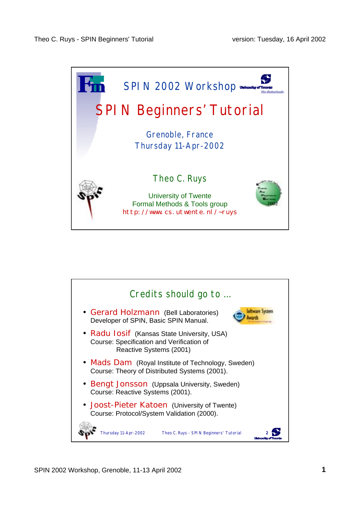

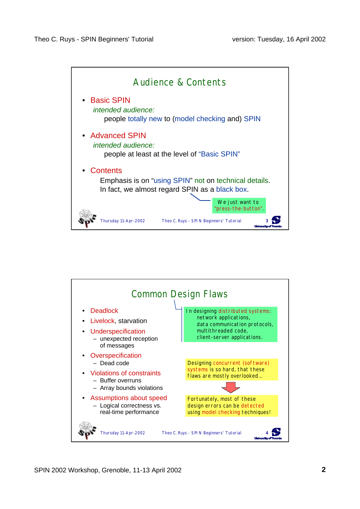

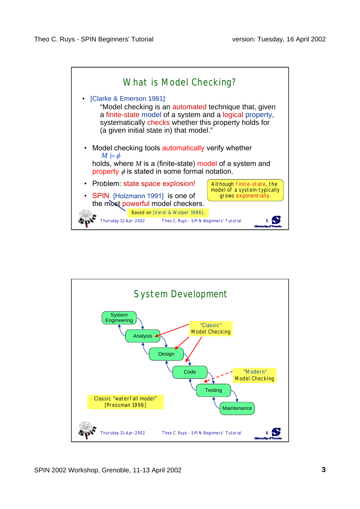

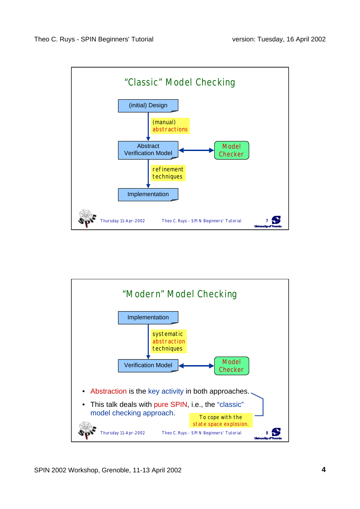

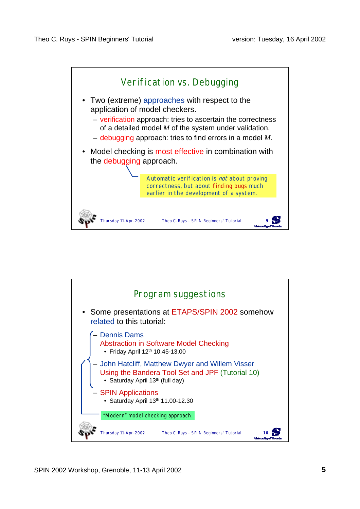

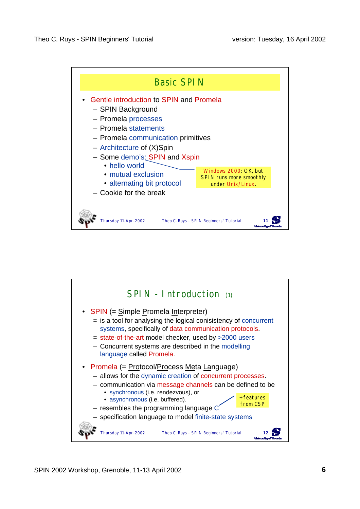

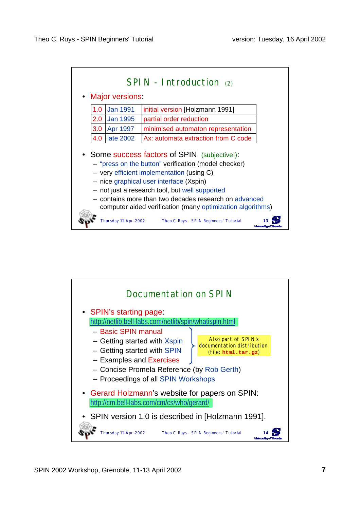

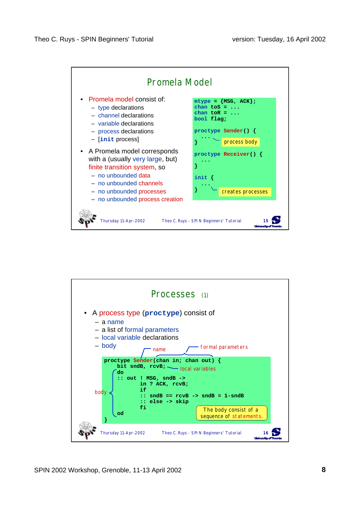

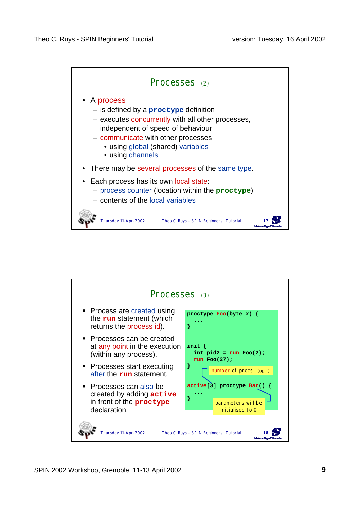

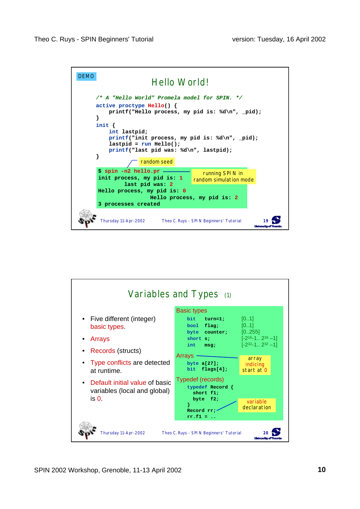

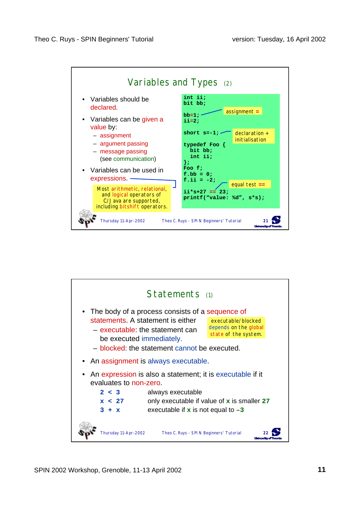

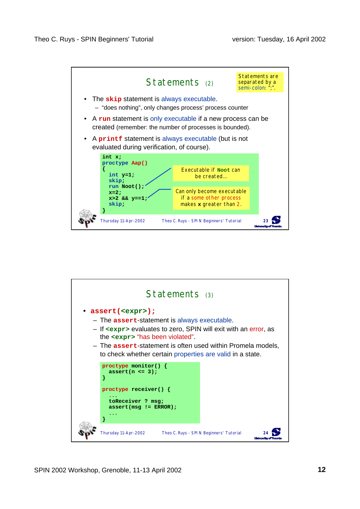

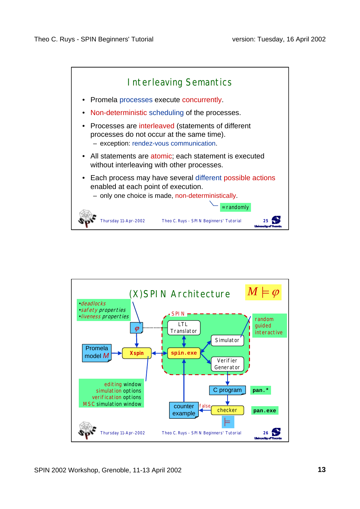

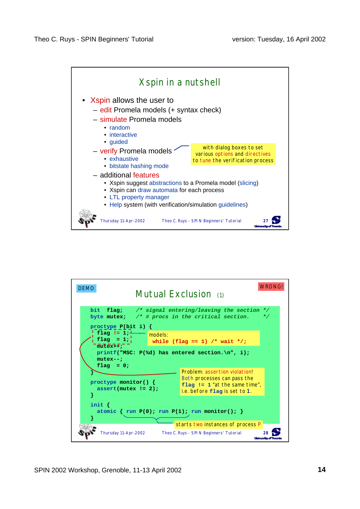

| <b>WRONG!</b><br><b>DEMO</b><br>Mutual Exclusion (1)                                                                                                                                                                                                                                                                                                                                |  |                                                                                                 |  |  |
|-------------------------------------------------------------------------------------------------------------------------------------------------------------------------------------------------------------------------------------------------------------------------------------------------------------------------------------------------------------------------------------|--|-------------------------------------------------------------------------------------------------|--|--|
| bit flag; /* signal entering/leaving the section<br>$*$ /<br>byte mutex; $/*$ # procs in the critical section.<br>* /<br>proctype $P(\text{bit } i)$ {<br>flag $!= 1;^{\perp}$<br>models:<br>flag = $1;$<br>while (flag == 1) /* wait */;<br>$m \bar{u}$ tex++;<br>printf("MSC: $P$ (%d) has entered section.\n", i);<br>$mutes--:$<br>flag = $0;$<br>Problem: assertion violation! |  |                                                                                                 |  |  |
| proctype monitor() $\{$<br>$assert(mutes != 2);$                                                                                                                                                                                                                                                                                                                                    |  | Both processes can pass the<br>flag $!= 1$ "at the same time",<br>i.e. before flag is set to 1. |  |  |
| init $\{$<br>atomic { run P(0); run P(1); run monitor(); }<br>starts two instances of process P                                                                                                                                                                                                                                                                                     |  |                                                                                                 |  |  |
| Thursday 11-Apr-2002                                                                                                                                                                                                                                                                                                                                                                |  | Theo C. Ruys - SPIN Beginners' Tutorial                                                         |  |  |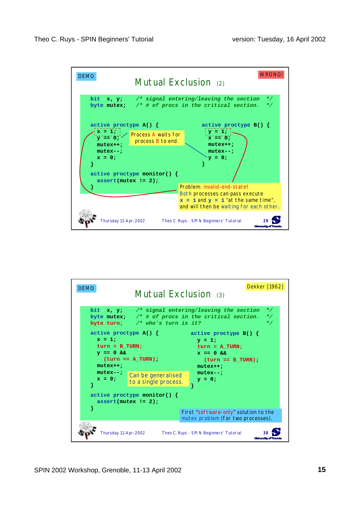

| <b>DEMO</b>                                                                                                        | Mutual Exclusion (3)                       | Dekker [1962]                                                                                                                                             |  |  |
|--------------------------------------------------------------------------------------------------------------------|--------------------------------------------|-----------------------------------------------------------------------------------------------------------------------------------------------------------|--|--|
|                                                                                                                    | byte turn; $/*$ who's turn is it?          | bit $x, y$ ; /* signal entering/leaving the section<br>$\star$ /<br>byte mutex; $\frac{1}{2}$ /* # of procs in the critical section.<br>$*$ /<br>$\star/$ |  |  |
| active proctype $A() \{$<br>$x = 1$<br>$turn = B TURN;$<br>$y == 0 & 0 & 0$<br>$turn == A TURN)$ ;<br>$mutext{+};$ |                                            | $\blacksquare$ active proctype B() {<br>$y = 1;$<br>$turn = A TURN;$<br>$x == 0$ & &<br>$(turn == B TURN)$ ;<br>$mutext{++}$                              |  |  |
| $mutex--;$<br>$x = 0$ :                                                                                            | Can be generalised<br>to a single process. | $m$ utex--;<br>$y = 0;$                                                                                                                                   |  |  |
| active proctype monitor() $\{$<br>$assert(mutex != 2);$<br>}                                                       |                                            |                                                                                                                                                           |  |  |
| First "software-only" solution to the<br>mutex problem (for two processes).                                        |                                            |                                                                                                                                                           |  |  |
| Thursday 11-Apr-2002<br>Theo C. Ruys - SPIN Beginners' Tutorial<br><b>Longuership ATT</b>                          |                                            |                                                                                                                                                           |  |  |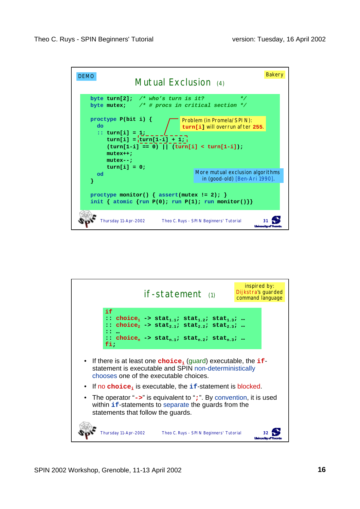

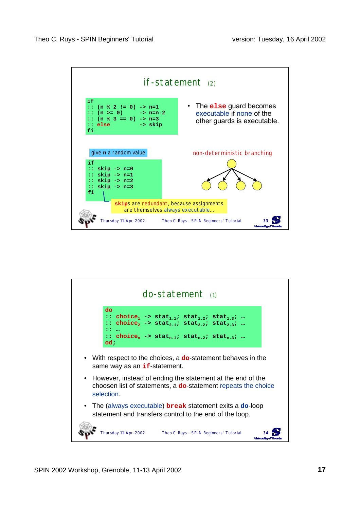

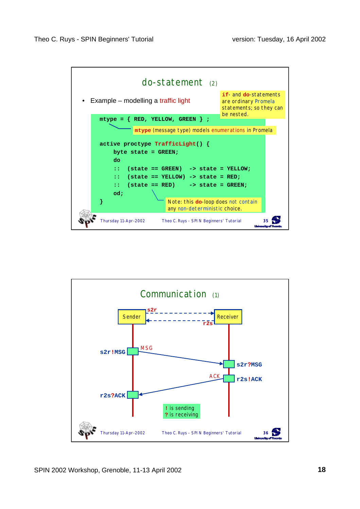

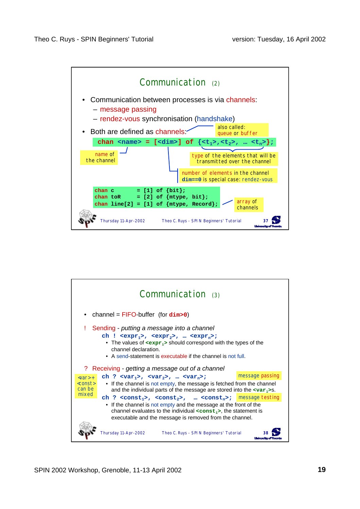

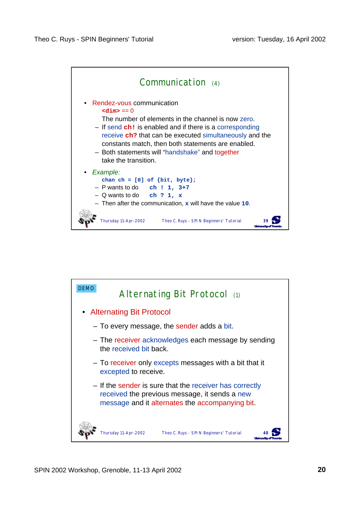

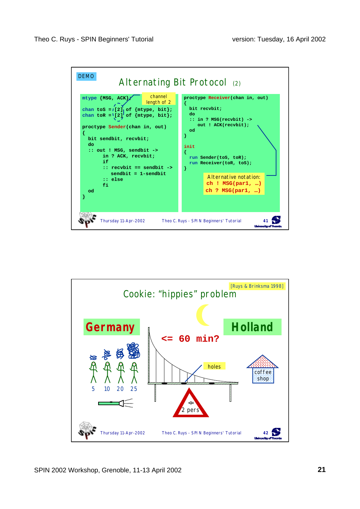

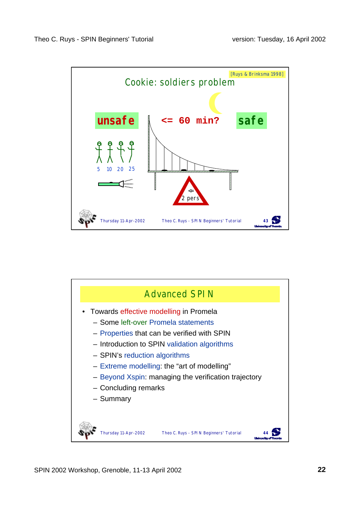

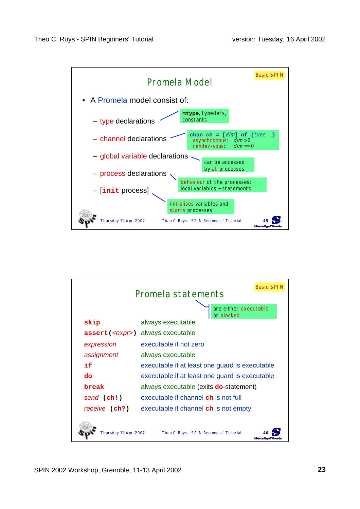

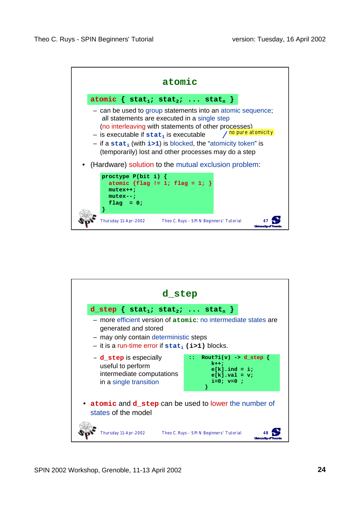

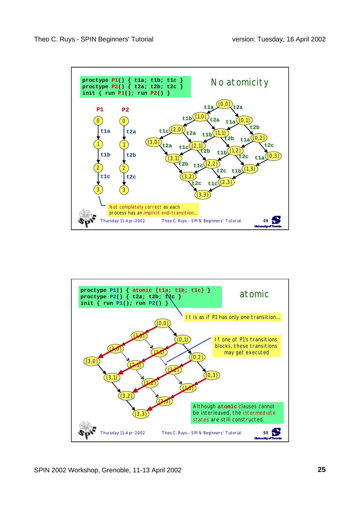

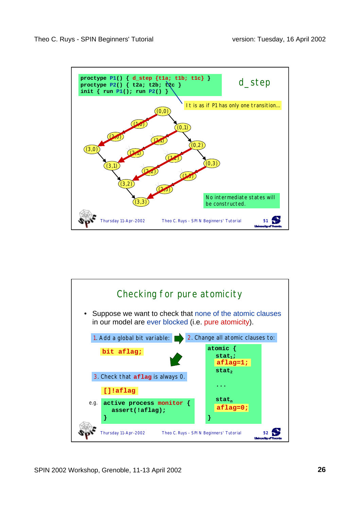

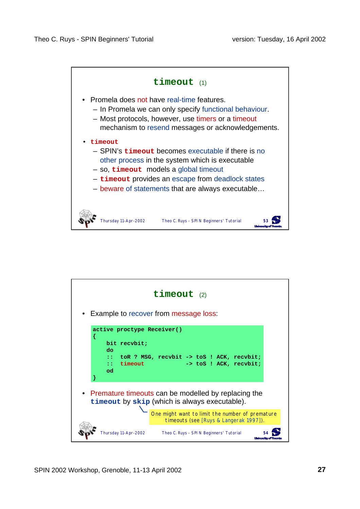

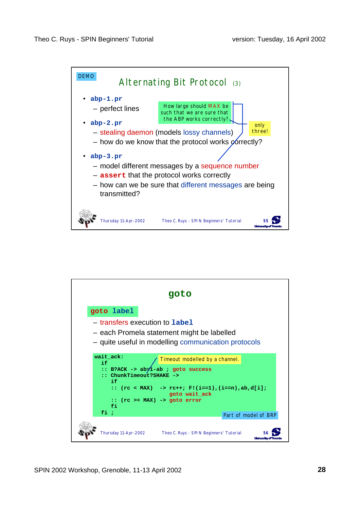

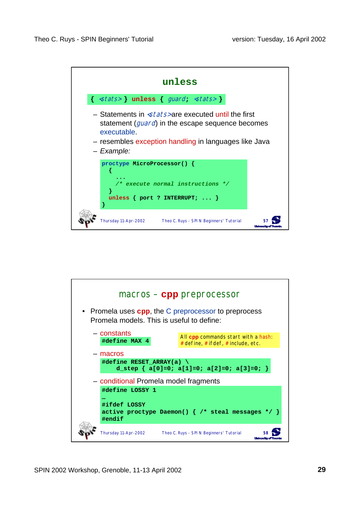

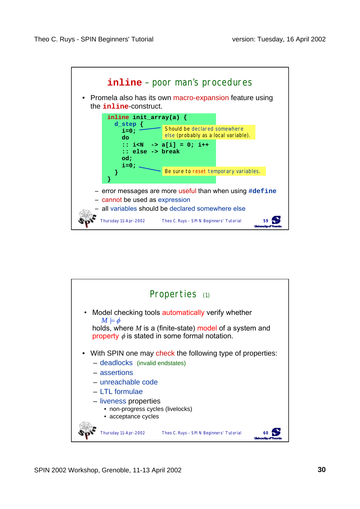

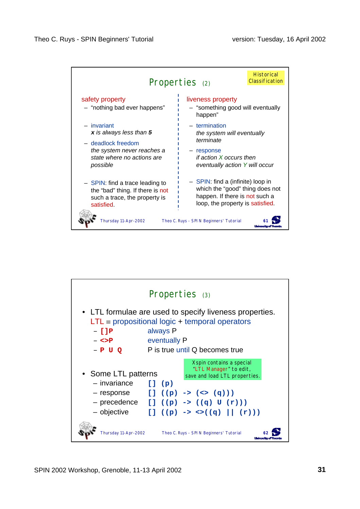

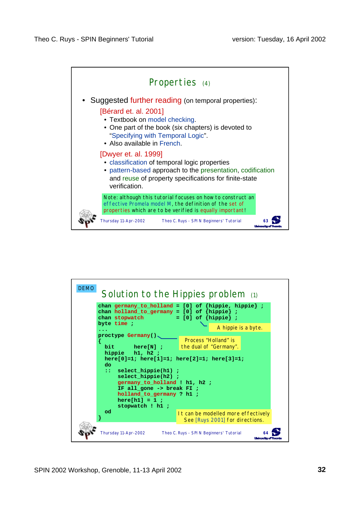

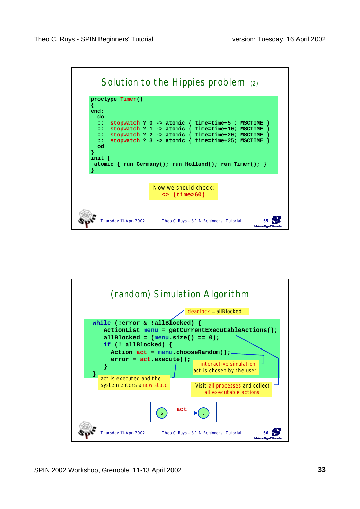

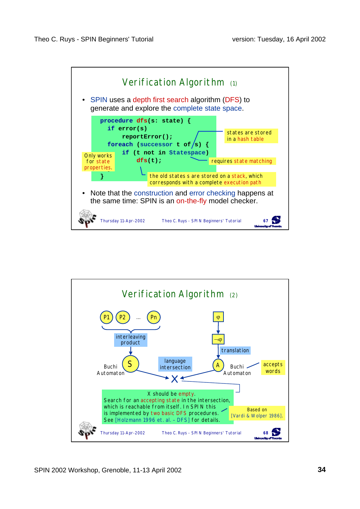

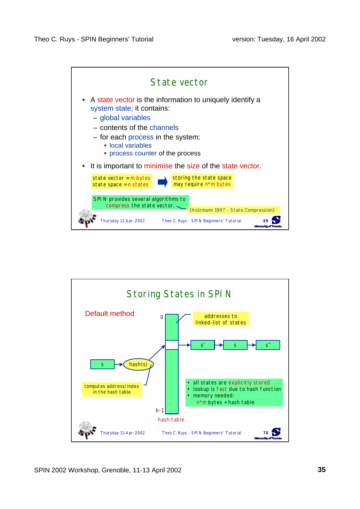

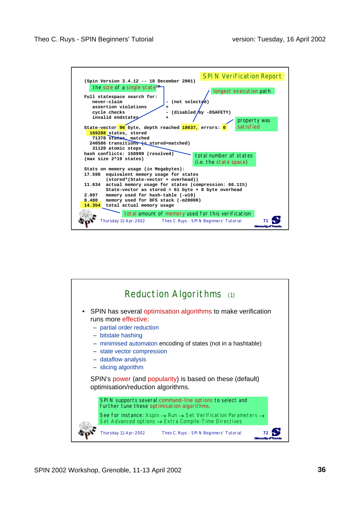

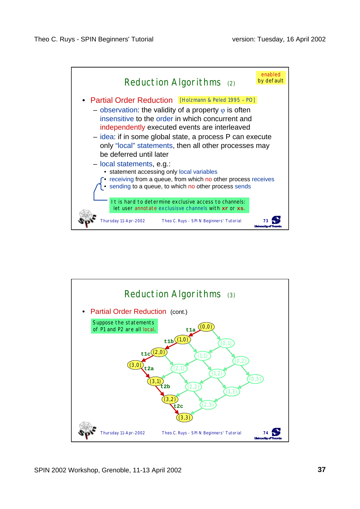

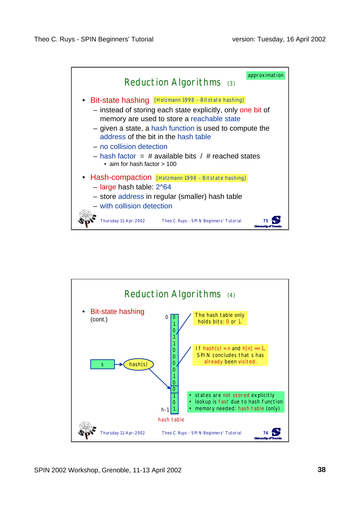

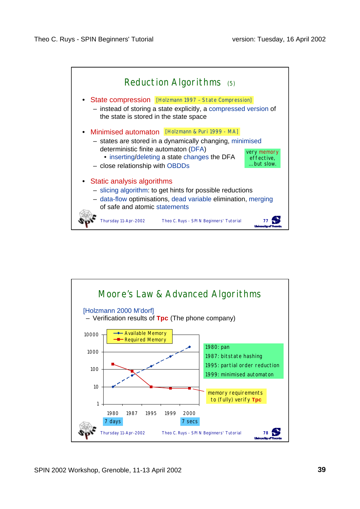

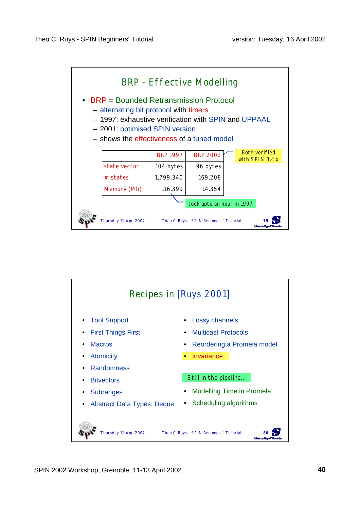

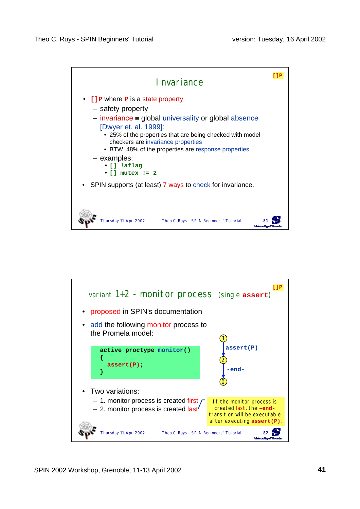

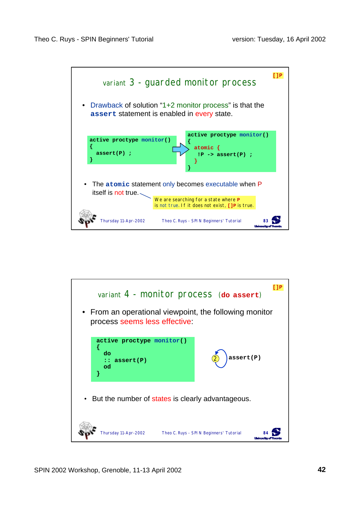

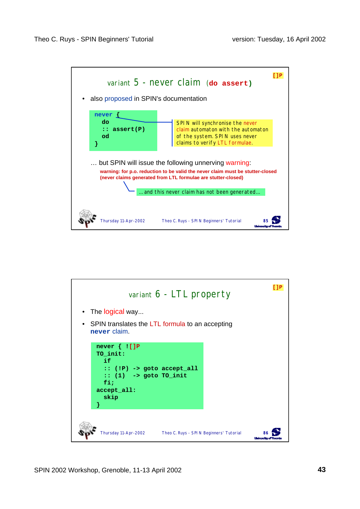

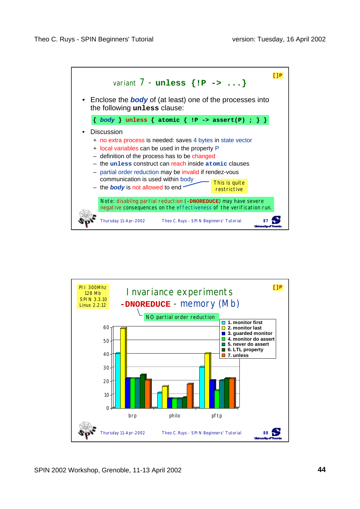

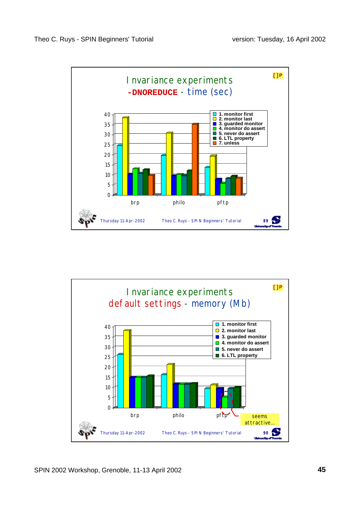

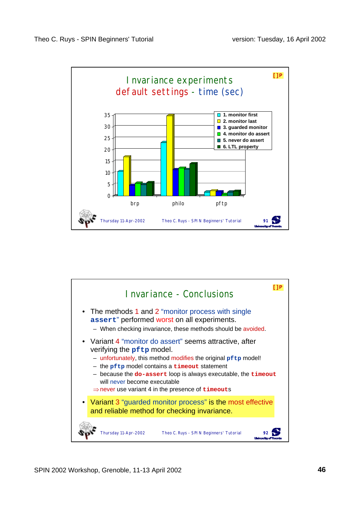

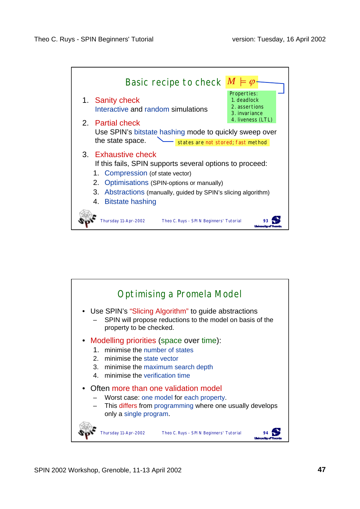

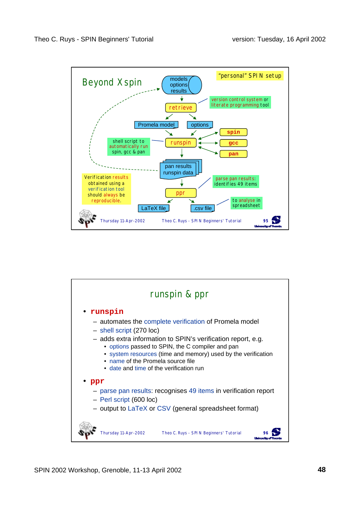

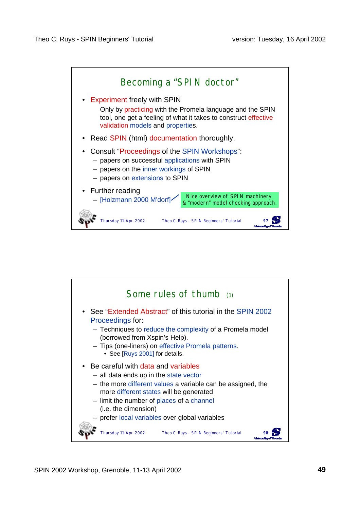